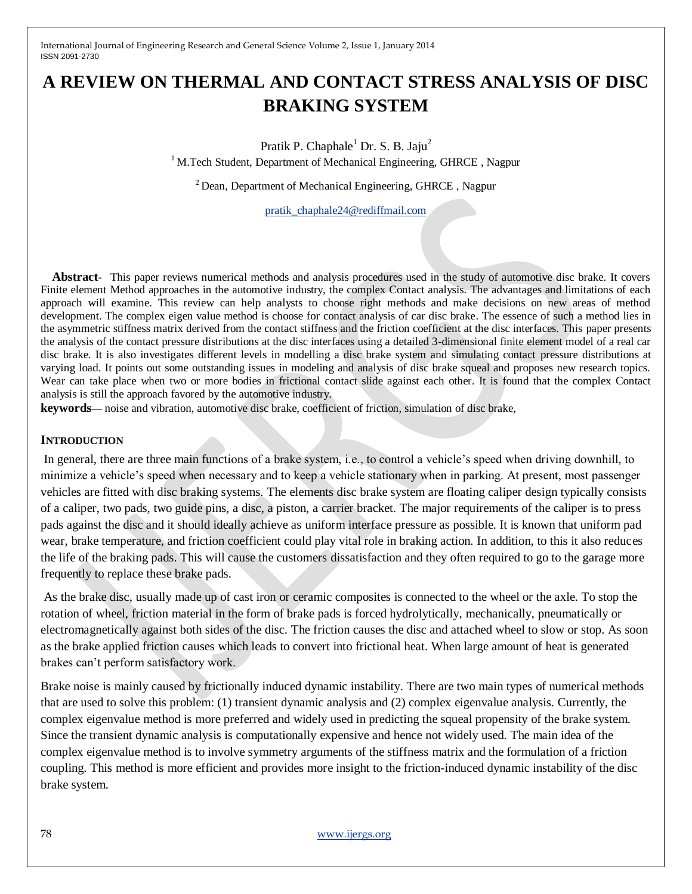# **A REVIEW ON THERMAL AND CONTACT STRESS ANALYSIS OF DISC BRAKING SYSTEM**

Pratik P. Chaphale<sup>1</sup> Dr. S. B. Jaju<sup>2</sup> <sup>1</sup> M.Tech Student, Department of Mechanical Engineering, GHRCE, Nagpur

 $2$  Dean, Department of Mechanical Engineering, GHRCE, Nagpur

[pratik\\_chaphale24@rediffmail.com](mailto:pratik_chaphale24@rediffmail.com)

**Abstract-** This paper reviews numerical methods and analysis procedures used in the study of automotive disc brake. It covers Finite element Method approaches in the automotive industry, the complex Contact analysis. The advantages and limitations of each approach will examine. This review can help analysts to choose right methods and make decisions on new areas of method development. The complex eigen value method is choose for contact analysis of car disc brake. The essence of such a method lies in the asymmetric stiffness matrix derived from the contact stiffness and the friction coefficient at the disc interfaces. This paper presents the analysis of the contact pressure distributions at the disc interfaces using a detailed 3-dimensional finite element model of a real car disc brake. It is also investigates different levels in modelling a disc brake system and simulating contact pressure distributions at varying load. It points out some outstanding issues in modeling and analysis of disc brake squeal and proposes new research topics. Wear can take place when two or more bodies in frictional contact slide against each other. It is found that the complex Contact analysis is still the approach favored by the automotive industry.

**keywords—** noise and vibration, automotive disc brake, coefficient of friction, simulation of disc brake,

#### **INTRODUCTION**

In general, there are three main functions of a brake system, i.e., to control a vehicle's speed when driving downhill, to minimize a vehicle's speed when necessary and to keep a vehicle stationary when in parking. At present, most passenger vehicles are fitted with disc braking systems. The elements disc brake system are floating caliper design typically consists of a caliper, two pads, two guide pins, a disc, a piston, a carrier bracket. The major requirements of the caliper is to press pads against the disc and it should ideally achieve as uniform interface pressure as possible. It is known that uniform pad wear, brake temperature, and friction coefficient could play vital role in braking action. In addition, to this it also reduces the life of the braking pads. This will cause the customers dissatisfaction and they often required to go to the garage more frequently to replace these brake pads.

As the brake disc, usually made up of cast iron or ceramic composites is connected to the wheel or the axle. To stop the rotation of wheel, friction material in the form of brake pads is forced hydrolytically, mechanically, pneumatically or electromagnetically against both sides of the disc. The friction causes the disc and attached wheel to slow or stop. As soon as the brake applied friction causes which leads to convert into frictional heat. When large amount of heat is generated brakes can't perform satisfactory work.

Brake noise is mainly caused by frictionally induced dynamic instability. There are two main types of numerical methods that are used to solve this problem: (1) transient dynamic analysis and (2) complex eigenvalue analysis. Currently, the complex eigenvalue method is more preferred and widely used in predicting the squeal propensity of the brake system. Since the transient dynamic analysis is computationally expensive and hence not widely used. The main idea of the complex eigenvalue method is to involve symmetry arguments of the stiffness matrix and the formulation of a friction coupling. This method is more efficient and provides more insight to the friction-induced dynamic instability of the disc brake system.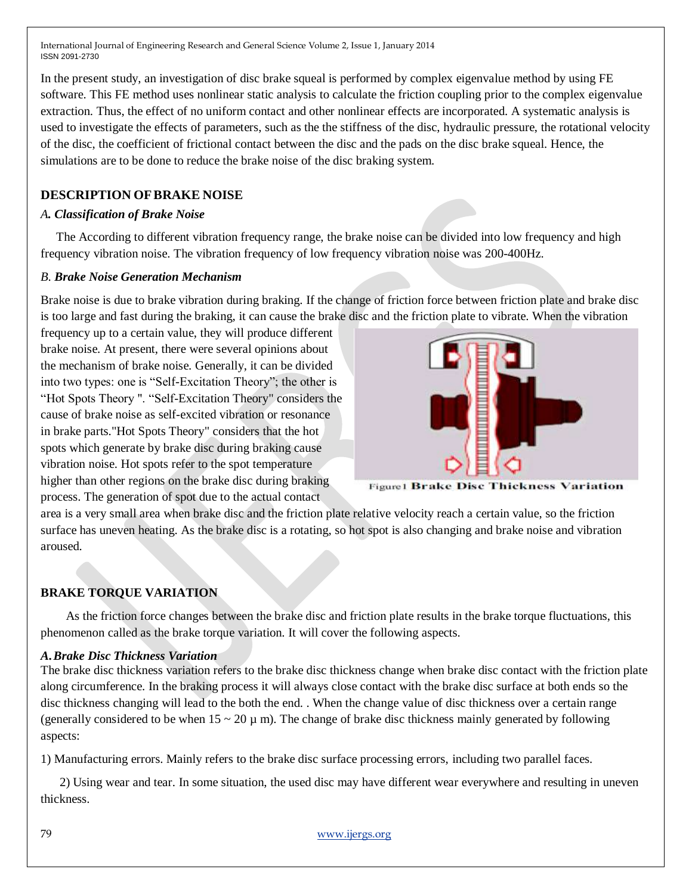In the present study, an investigation of disc brake squeal is performed by complex eigenvalue method by using FE software. This FE method uses nonlinear static analysis to calculate the friction coupling prior to the complex eigenvalue extraction. Thus, the effect of no uniform contact and other nonlinear effects are incorporated. A systematic analysis is used to investigate the effects of parameters, such as the the stiffness of the disc, hydraulic pressure, the rotational velocity of the disc, the coefficient of frictional contact between the disc and the pads on the disc brake squeal. Hence, the simulations are to be done to reduce the brake noise of the disc braking system.

# **DESCRIPTION OFBRAKE NOISE**

## *A. Classification of Brake Noise*

 The According to different vibration frequency range, the brake noise can be divided into low frequency and high frequency vibration noise. The vibration frequency of low frequency vibration noise was 200-400Hz.

### *B. Brake Noise Generation Mechanism*

Brake noise is due to brake vibration during braking. If the change of friction force between friction plate and brake disc is too large and fast during the braking, it can cause the brake disc and the friction plate to vibrate. When the vibration

frequency up to a certain value, they will produce different brake noise. At present, there were several opinions about the mechanism of brake noise. Generally, it can be divided into two types: one is "Self-Excitation Theory"; the other is "Hot Spots Theory ". "Self-Excitation Theory" considers the cause of brake noise as self-excited vibration or resonance in brake parts."Hot Spots Theory" considers that the hot spots which generate by brake disc during braking cause vibration noise. Hot spots refer to the spot temperature higher than other regions on the brake disc during braking process. The generation of spot due to the actual contact



**Figure1 Brake Disc Thickness Variation** 

area is a very small area when brake disc and the friction plate relative velocity reach a certain value, so the friction surface has uneven heating. As the brake disc is a rotating, so hot spot is also changing and brake noise and vibration aroused.

# **BRAKE TORQUE VARIATION**

 As the friction force changes between the brake disc and friction plate results in the brake torque fluctuations, this phenomenon called as the brake torque variation. It will cover the following aspects.

### *A.Brake Disc Thickness Variation*

The brake disc thickness variation refers to the brake disc thickness change when brake disc contact with the friction plate along circumference. In the braking process it will always close contact with the brake disc surface at both ends so the disc thickness changing will lead to the both the end. . When the change value of disc thickness over a certain range (generally considered to be when  $15 \sim 20 \,\mu$  m). The change of brake disc thickness mainly generated by following aspects:

1) Manufacturing errors. Mainly refers to the brake disc surface processing errors, including two parallel faces.

 2) Using wear and tear. In some situation, the used disc may have different wear everywhere and resulting in uneven thickness.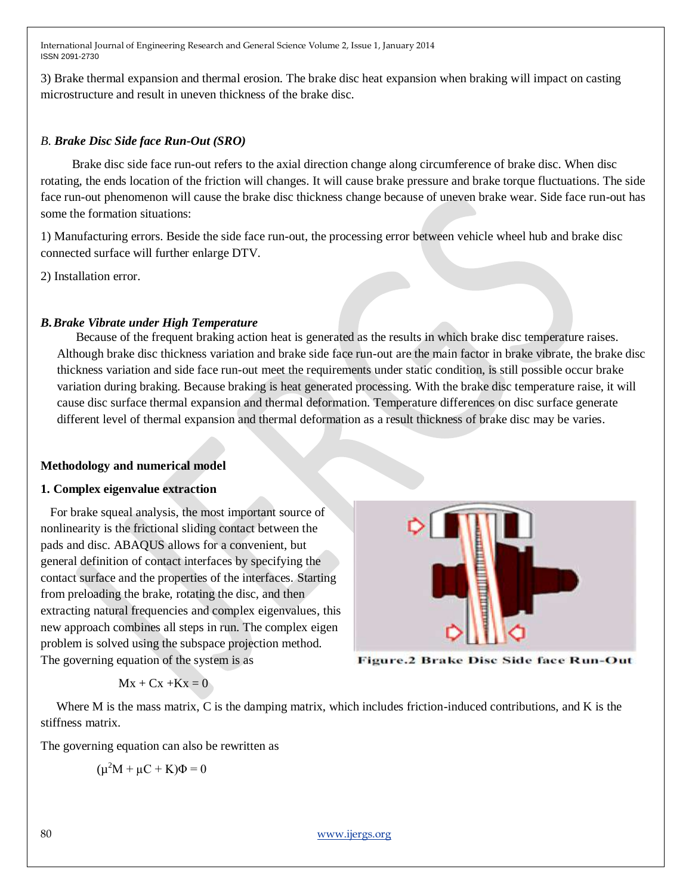3) Brake thermal expansion and thermal erosion. The brake disc heat expansion when braking will impact on casting microstructure and result in uneven thickness of the brake disc.

#### *B. Brake Disc Side face Run-Out (SRO)*

 Brake disc side face run-out refers to the axial direction change along circumference of brake disc. When disc rotating, the ends location of the friction will changes. It will cause brake pressure and brake torque fluctuations. The side face run-out phenomenon will cause the brake disc thickness change because of uneven brake wear. Side face run-out has some the formation situations:

1) Manufacturing errors. Beside the side face run-out, the processing error between vehicle wheel hub and brake disc connected surface will further enlarge DTV.

2) Installation error.

## *B.Brake Vibrate under High Temperature*

 Because of the frequent braking action heat is generated as the results in which brake disc temperature raises. Although brake disc thickness variation and brake side face run-out are the main factor in brake vibrate, the brake disc thickness variation and side face run-out meet the requirements under static condition, is still possible occur brake variation during braking. Because braking is heat generated processing. With the brake disc temperature raise, it will cause disc surface thermal expansion and thermal deformation. Temperature differences on disc surface generate different level of thermal expansion and thermal deformation as a result thickness of brake disc may be varies.

### **Methodology and numerical model**

### **1. Complex eigenvalue extraction**

 For brake squeal analysis, the most important source of nonlinearity is the frictional sliding contact between the pads and disc. ABAQUS allows for a convenient, but general definition of contact interfaces by specifying the contact surface and the properties of the interfaces. Starting from preloading the brake, rotating the disc, and then extracting natural frequencies and complex eigenvalues, this new approach combines all steps in run. The complex eigen problem is solved using the subspace projection method. The governing equation of the system is as



Figure.2 Brake Disc Side face Run-Out

$$
Mx + Cx + Kx = 0
$$

Where M is the mass matrix, C is the damping matrix, which includes friction-induced contributions, and K is the stiffness matrix.

The governing equation can also be rewritten as

$$
(\mu^2 M + \mu C + K)\Phi = 0
$$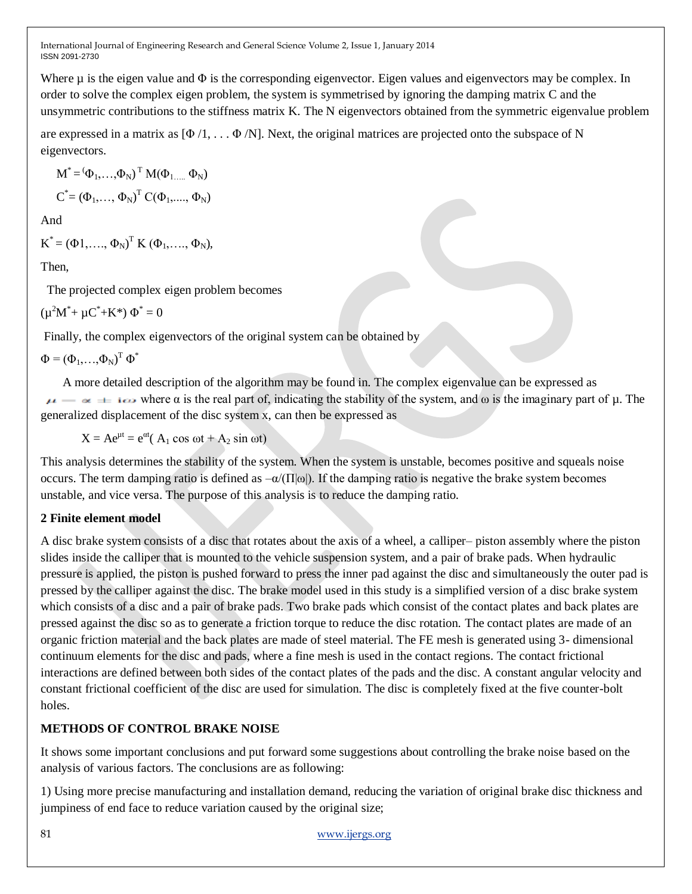Where  $\mu$  is the eigen value and  $\Phi$  is the corresponding eigenvector. Eigen values and eigenvectors may be complex. In order to solve the complex eigen problem, the system is symmetrised by ignoring the damping matrix C and the unsymmetric contributions to the stiffness matrix K. The N eigenvectors obtained from the symmetric eigenvalue problem

are expressed in a matrix as  $[\Phi/1, \ldots, \Phi/N]$ . Next, the original matrices are projected onto the subspace of N eigenvectors.

$$
M^* = (\Phi_1, ..., \Phi_N)^T M(\Phi_1, ..., \Phi_N)
$$
  

$$
C^* = (\Phi_1, ..., \Phi_N)^T C(\Phi_1, ..., \Phi_N)
$$

And

 $K^* = (\Phi_1, \ldots, \Phi_N)^T K (\Phi_1, \ldots, \Phi_N),$ 

Then,

The projected complex eigen problem becomes

 $(\mu^2 M^* + \mu C^* + K^*) \Phi^* = 0$ 

Finally, the complex eigenvectors of the original system can be obtained by

 $\Phi = (\Phi_1, \ldots, \Phi_N)^T \Phi^*$ 

 A more detailed description of the algorithm may be found in. The complex eigenvalue can be expressed as  $\mu \rightarrow \infty$  is the real part of, indicating the stability of the system, and  $\omega$  is the imaginary part of  $\mu$ . The generalized displacement of the disc system x, can then be expressed as

 $X = Ae^{\mu t} = e^{\alpha t} (A_1 \cos \omega t + A_2 \sin \omega t)$ 

This analysis determines the stability of the system. When the system is unstable, becomes positive and squeals noise occurs. The term damping ratio is defined as  $-\alpha/(\Pi|\omega|)$ . If the damping ratio is negative the brake system becomes unstable, and vice versa. The purpose of this analysis is to reduce the damping ratio.

### **2 Finite element model**

A disc brake system consists of a disc that rotates about the axis of a wheel, a calliper– piston assembly where the piston slides inside the calliper that is mounted to the vehicle suspension system, and a pair of brake pads. When hydraulic pressure is applied, the piston is pushed forward to press the inner pad against the disc and simultaneously the outer pad is pressed by the calliper against the disc. The brake model used in this study is a simplified version of a disc brake system which consists of a disc and a pair of brake pads. Two brake pads which consist of the contact plates and back plates are pressed against the disc so as to generate a friction torque to reduce the disc rotation. The contact plates are made of an organic friction material and the back plates are made of steel material. The FE mesh is generated using 3- dimensional continuum elements for the disc and pads, where a fine mesh is used in the contact regions. The contact frictional interactions are defined between both sides of the contact plates of the pads and the disc. A constant angular velocity and constant frictional coefficient of the disc are used for simulation. The disc is completely fixed at the five counter-bolt holes.

# **METHODS OF CONTROL BRAKE NOISE**

It shows some important conclusions and put forward some suggestions about controlling the brake noise based on the analysis of various factors. The conclusions are as following:

1) Using more precise manufacturing and installation demand, reducing the variation of original brake disc thickness and jumpiness of end face to reduce variation caused by the original size;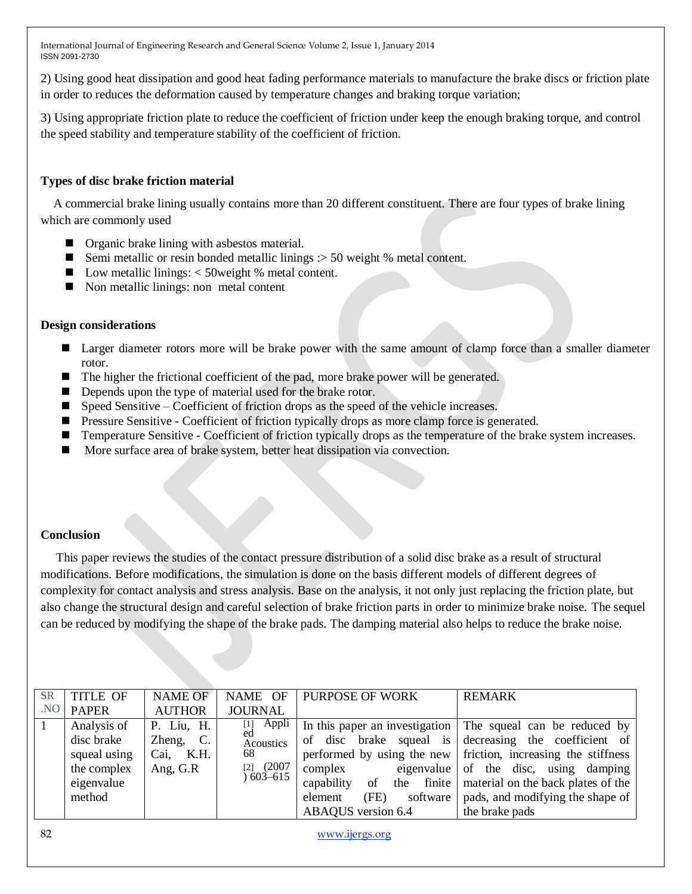2) Using good heat dissipation and good heat fading performance materials to manufacture the brake discs or friction plate in order to reduces the deformation caused by temperature changes and braking torque variation;

3) Using appropriate friction plate to reduce the coefficient of friction under keep the enough braking torque, and control the speed stability and temperature stability of the coefficient of friction.

#### **Types of disc brake friction material**

 A commercial brake lining usually contains more than 20 different constituent. There are four types of brake lining which are commonly used

- **Organic brake lining with asbestos material.**
- Semi metallic or resin bonded metallic linings  $\therefore$  50 weight % metal content.
- $\blacksquare$  Low metallic linings: < 50 weight % metal content.
- Non metallic linings: non metal content

#### **Design considerations**

- **Larger diameter rotors more will be brake power with the same amount of clamp force than a smaller diameter** rotor.
- The higher the frictional coefficient of the pad, more brake power will be generated.
- Depends upon the type of material used for the brake rotor.
- $\blacksquare$  Speed Sensitive Coefficient of friction drops as the speed of the vehicle increases.
- **Pressure Sensitive Coefficient of friction typically drops as more clamp force is generated.**
- **Temperature Sensitive Coefficient of friction typically drops as the temperature of the brake system increases.**
- More surface area of brake system, better heat dissipation via convection.

#### **Conclusion**

 This paper reviews the studies of the contact pressure distribution of a solid disc brake as a result of structural modifications. Before modifications, the simulation is done on the basis different models of different degrees of complexity for contact analysis and stress analysis. Base on the analysis, it not only just replacing the friction plate, but also change the structural design and careful selection of brake friction parts in order to minimize brake noise. The sequel can be reduced by modifying the shape of the brake pads. The damping material also helps to reduce the brake noise.

| <b>SR</b> | <b>TITLE OF</b>                                                                  | <b>NAME OF</b>                                   | NAME OF                                                                        | <b>PURPOSE OF WORK</b>                                       | <b>REMARK</b>                                                                                                                                                                                                                                                                                                         |
|-----------|----------------------------------------------------------------------------------|--------------------------------------------------|--------------------------------------------------------------------------------|--------------------------------------------------------------|-----------------------------------------------------------------------------------------------------------------------------------------------------------------------------------------------------------------------------------------------------------------------------------------------------------------------|
| .NO       | <b>PAPER</b>                                                                     | <b>AUTHOR</b>                                    | <b>JOURNAL</b>                                                                 |                                                              |                                                                                                                                                                                                                                                                                                                       |
|           | Analysis of<br>disc brake<br>squeal using<br>the complex<br>eigenvalue<br>method | P. Liu, H.<br>Zheng, C.<br>Cai, K.H.<br>Ang, G.R | Appli<br>$[1]$<br>ed<br><b>Acoustics</b><br>68<br>$[2]$ $(2007$<br>$603 - 615$ | complex<br>capability<br>of<br>(FE)<br>software  <br>element | In this paper an investigation The squeal can be reduced by<br>of disc brake squeal is decreasing the coefficient of<br>performed by using the new friction, increasing the stiffness<br>eigenvalue of the disc, using damping<br>the finite   material on the back plates of the<br>pads, and modifying the shape of |
|           |                                                                                  |                                                  |                                                                                | ABAQUS version 6.4                                           | the brake pads                                                                                                                                                                                                                                                                                                        |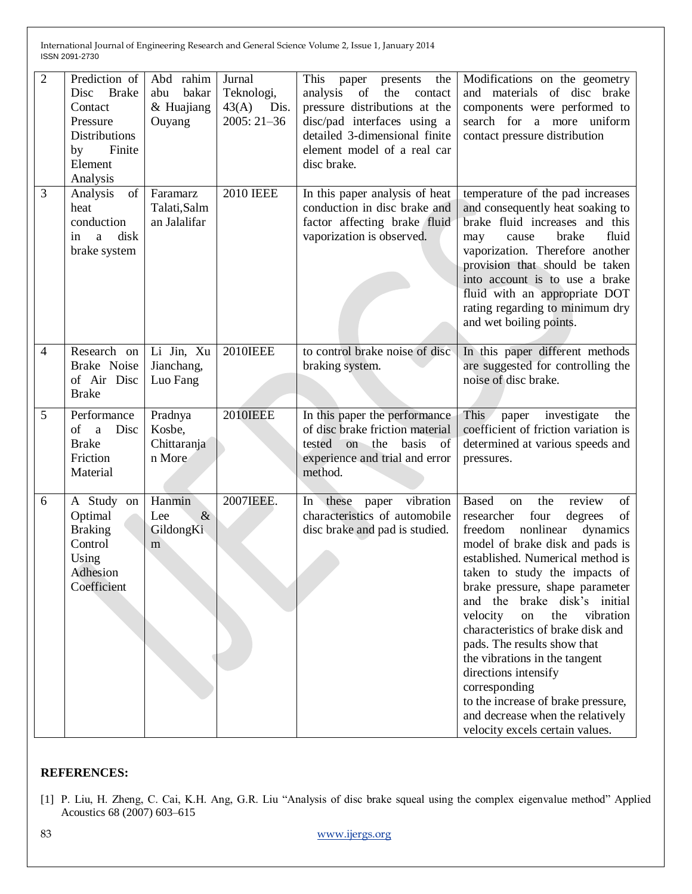| $\overline{2}$ | Prediction of<br>Disc Brake<br>Contact<br>Pressure<br>Distributions<br>Finite<br>by<br>Element<br>Analysis | Abd rahim<br>bakar<br>abu<br>& Huajiang<br>Ouyang | Jurnal<br>Teknologi,<br>43(A)<br>Dis.<br>$2005:21-36$ | This<br>the<br>paper<br>presents<br>analysis<br>of<br>the<br>contact<br>pressure distributions at the<br>disc/pad interfaces using a<br>detailed 3-dimensional finite<br>element model of a real car<br>disc brake. | Modifications on the geometry<br>and materials of disc brake<br>components were performed to<br>search for a more<br>uniform<br>contact pressure distribution                                                                                                                                                                                                                                                                                                                                                                                                                                    |
|----------------|------------------------------------------------------------------------------------------------------------|---------------------------------------------------|-------------------------------------------------------|---------------------------------------------------------------------------------------------------------------------------------------------------------------------------------------------------------------------|--------------------------------------------------------------------------------------------------------------------------------------------------------------------------------------------------------------------------------------------------------------------------------------------------------------------------------------------------------------------------------------------------------------------------------------------------------------------------------------------------------------------------------------------------------------------------------------------------|
| 3              | of<br>Analysis<br>heat<br>conduction<br>disk<br>in<br>a<br>brake system                                    | Faramarz<br>Talati, Salm<br>an Jalalifar          | <b>2010 IEEE</b>                                      | In this paper analysis of heat<br>conduction in disc brake and<br>factor affecting brake fluid<br>vaporization is observed.                                                                                         | temperature of the pad increases<br>and consequently heat soaking to<br>brake fluid increases and this<br>brake<br>fluid<br>cause<br>may<br>vaporization. Therefore another<br>provision that should be taken<br>into account is to use a brake<br>fluid with an appropriate DOT<br>rating regarding to minimum dry<br>and wet boiling points.                                                                                                                                                                                                                                                   |
| 4              | Research on<br>Brake Noise<br>of Air Disc<br><b>Brake</b>                                                  | Li Jin, Xu<br>Jianchang,<br>Luo Fang              | <b>2010IEEE</b>                                       | to control brake noise of disc<br>braking system.                                                                                                                                                                   | In this paper different methods<br>are suggested for controlling the<br>noise of disc brake.                                                                                                                                                                                                                                                                                                                                                                                                                                                                                                     |
| 5              | Performance<br><sub>of</sub><br>Disc<br>$\mathbf{a}$<br><b>Brake</b><br>Friction<br>Material               | Pradnya<br>Kosbe,<br>Chittaranja<br>n More        | <b>2010IEEE</b>                                       | In this paper the performance<br>of disc brake friction material<br>tested on the basis<br>of<br>experience and trial and error<br>method.                                                                          | This<br>paper<br>investigate<br>the<br>coefficient of friction variation is<br>determined at various speeds and<br>pressures.                                                                                                                                                                                                                                                                                                                                                                                                                                                                    |
| 6              | A Study on<br>Optimal<br><b>Braking</b><br>Control<br>Using<br>Adhesion<br>Coefficient                     | Hanmin<br>$\&$<br>Lee<br>GildongKi<br>m           | 2007IEEE.                                             | vibration<br>In these<br>paper<br>characteristics of automobile<br>disc brake and pad is studied.                                                                                                                   | <b>Based</b><br>the<br>review<br>of<br>on<br>four<br>researcher<br>degrees<br>of<br>freedom<br>nonlinear<br>dynamics<br>model of brake disk and pads is<br>established. Numerical method is<br>taken to study the impacts of<br>brake pressure, shape parameter<br>and the brake disk's initial<br>velocity<br>the<br>vibration<br>on<br>characteristics of brake disk and<br>pads. The results show that<br>the vibrations in the tangent<br>directions intensify<br>corresponding<br>to the increase of brake pressure,<br>and decrease when the relatively<br>velocity excels certain values. |

#### **REFERENCES:**

[1] P. Liu, H. Zheng, C. Cai, K.H. Ang, G.R. Liu "Analysis of disc brake squeal using the complex eigenvalue method" Applied Acoustics 68 (2007) 603–615